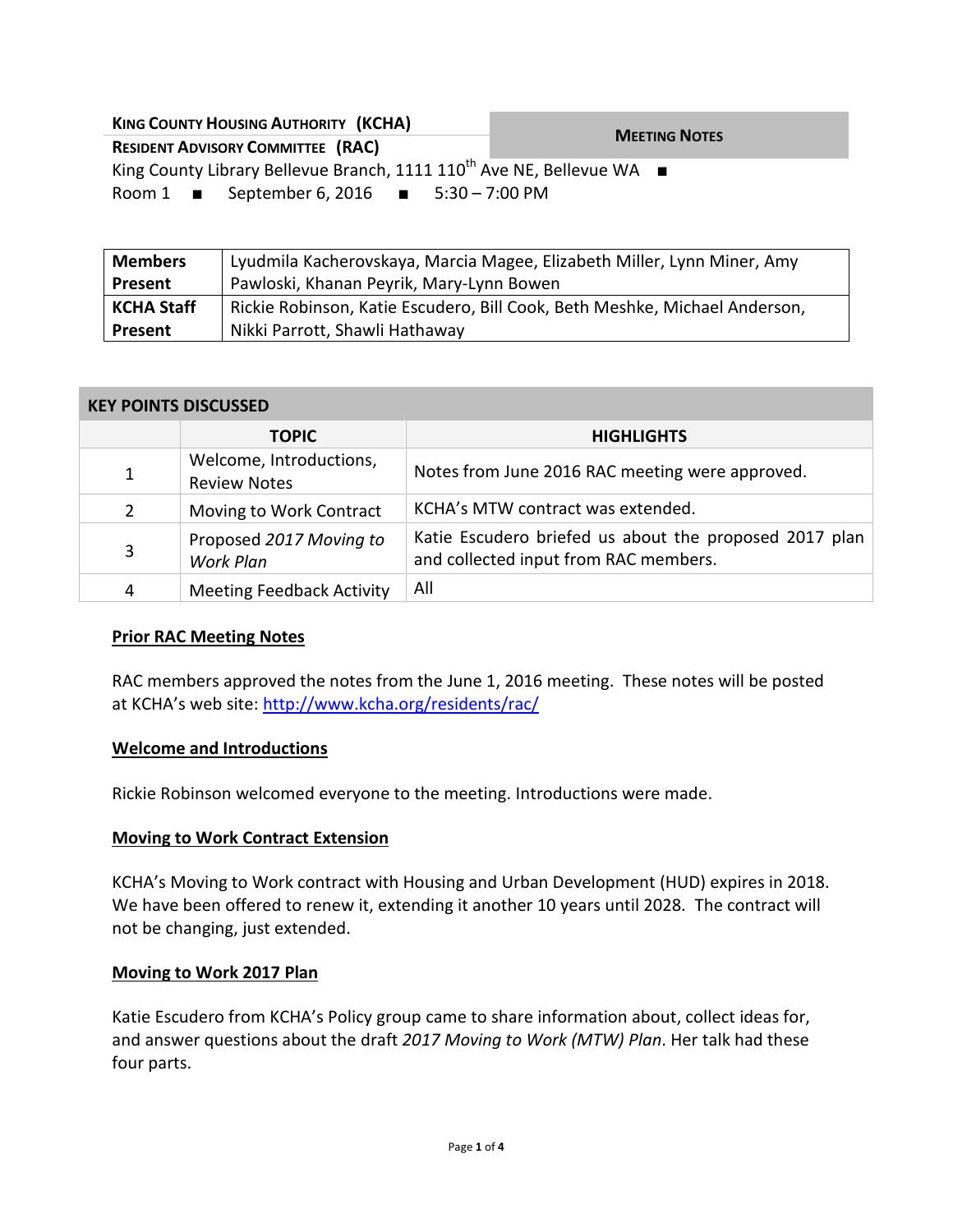| <b>KING COUNTY HOUSING AUTHORITY (KCHA)</b>                                       |                      |  |
|-----------------------------------------------------------------------------------|----------------------|--|
| <b>RESIDENT ADVISORY COMMITTEE (RAC)</b>                                          | <b>MEETING NOTES</b> |  |
| King County Library Bellevue Branch, 1111 110 <sup>th</sup> Ave NE, Bellevue WA ■ |                      |  |
| Room 1 $\blacksquare$ September 6, 2016 $\blacksquare$ 5:30 – 7:00 PM             |                      |  |

| <b>Members</b>    | Lyudmila Kacherovskaya, Marcia Magee, Elizabeth Miller, Lynn Miner, Amy    |  |
|-------------------|----------------------------------------------------------------------------|--|
| Present           | Pawloski, Khanan Peyrik, Mary-Lynn Bowen                                   |  |
| <b>KCHA Staff</b> | Rickie Robinson, Katie Escudero, Bill Cook, Beth Meshke, Michael Anderson, |  |
| Present           | Nikki Parrott, Shawli Hathaway                                             |  |

#### **KEY POINTS DISCUSSED**

|                       | <b>TOPIC</b>                                   | <b>HIGHLIGHTS</b>                                                                               |
|-----------------------|------------------------------------------------|-------------------------------------------------------------------------------------------------|
| 1                     | Welcome, Introductions,<br><b>Review Notes</b> | Notes from June 2016 RAC meeting were approved.                                                 |
| $\mathbf{2}^{\prime}$ | Moving to Work Contract                        | KCHA's MTW contract was extended.                                                               |
| 3                     | Proposed 2017 Moving to<br>Work Plan           | Katie Escudero briefed us about the proposed 2017 plan<br>and collected input from RAC members. |
| 4                     | <b>Meeting Feedback Activity</b>               | All                                                                                             |

### **Prior RAC Meeting Notes**

RAC members approved the notes from the June 1, 2016 meeting. These notes will be posted at KCHA's web site: <http://www.kcha.org/residents/rac/>

### **Welcome and Introductions**

Rickie Robinson welcomed everyone to the meeting. Introductions were made.

### **Moving to Work Contract Extension**

KCHA's Moving to Work contract with Housing and Urban Development (HUD) expires in 2018. We have been offered to renew it, extending it another 10 years until 2028. The contract will not be changing, just extended.

### **Moving to Work 2017 Plan**

Katie Escudero from KCHA's Policy group came to share information about, collect ideas for, and answer questions about the draft *2017 Moving to Work (MTW) Plan*. Her talk had these four parts.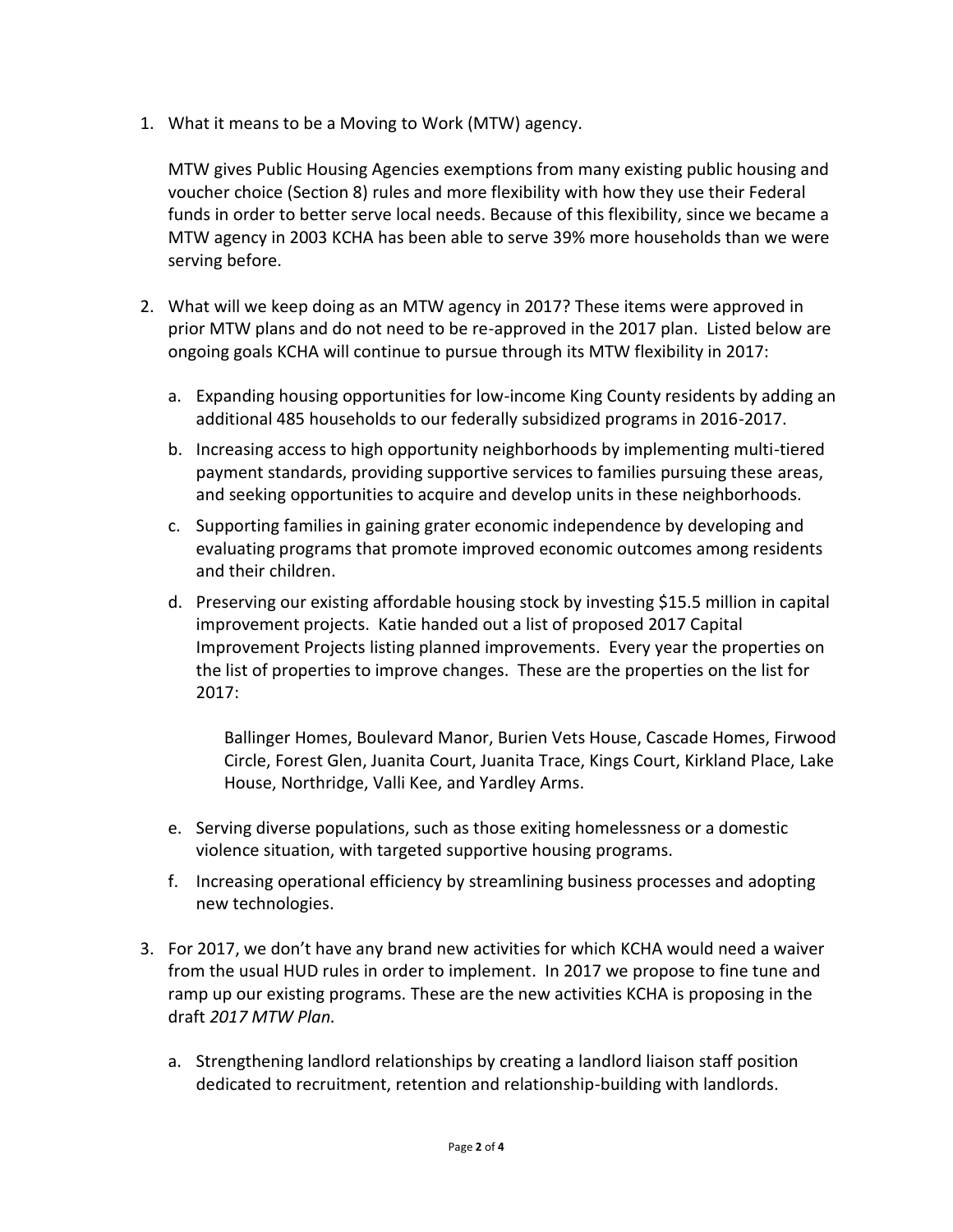1. What it means to be a Moving to Work (MTW) agency.

MTW gives Public Housing Agencies exemptions from many existing public housing and voucher choice (Section 8) rules and more flexibility with how they use their Federal funds in order to better serve local needs. Because of this flexibility, since we became a MTW agency in 2003 KCHA has been able to serve 39% more households than we were serving before.

- 2. What will we keep doing as an MTW agency in 2017? These items were approved in prior MTW plans and do not need to be re-approved in the 2017 plan. Listed below are ongoing goals KCHA will continue to pursue through its MTW flexibility in 2017:
	- a. Expanding housing opportunities for low-income King County residents by adding an additional 485 households to our federally subsidized programs in 2016-2017.
	- b. Increasing access to high opportunity neighborhoods by implementing multi-tiered payment standards, providing supportive services to families pursuing these areas, and seeking opportunities to acquire and develop units in these neighborhoods.
	- c. Supporting families in gaining grater economic independence by developing and evaluating programs that promote improved economic outcomes among residents and their children.
	- d. Preserving our existing affordable housing stock by investing \$15.5 million in capital improvement projects. Katie handed out a list of proposed 2017 Capital Improvement Projects listing planned improvements. Every year the properties on the list of properties to improve changes. These are the properties on the list for 2017:

Ballinger Homes, Boulevard Manor, Burien Vets House, Cascade Homes, Firwood Circle, Forest Glen, Juanita Court, Juanita Trace, Kings Court, Kirkland Place, Lake House, Northridge, Valli Kee, and Yardley Arms.

- e. Serving diverse populations, such as those exiting homelessness or a domestic violence situation, with targeted supportive housing programs.
- f. Increasing operational efficiency by streamlining business processes and adopting new technologies.
- 3. For 2017, we don't have any brand new activities for which KCHA would need a waiver from the usual HUD rules in order to implement. In 2017 we propose to fine tune and ramp up our existing programs. These are the new activities KCHA is proposing in the draft *2017 MTW Plan.*
	- a. Strengthening landlord relationships by creating a landlord liaison staff position dedicated to recruitment, retention and relationship-building with landlords.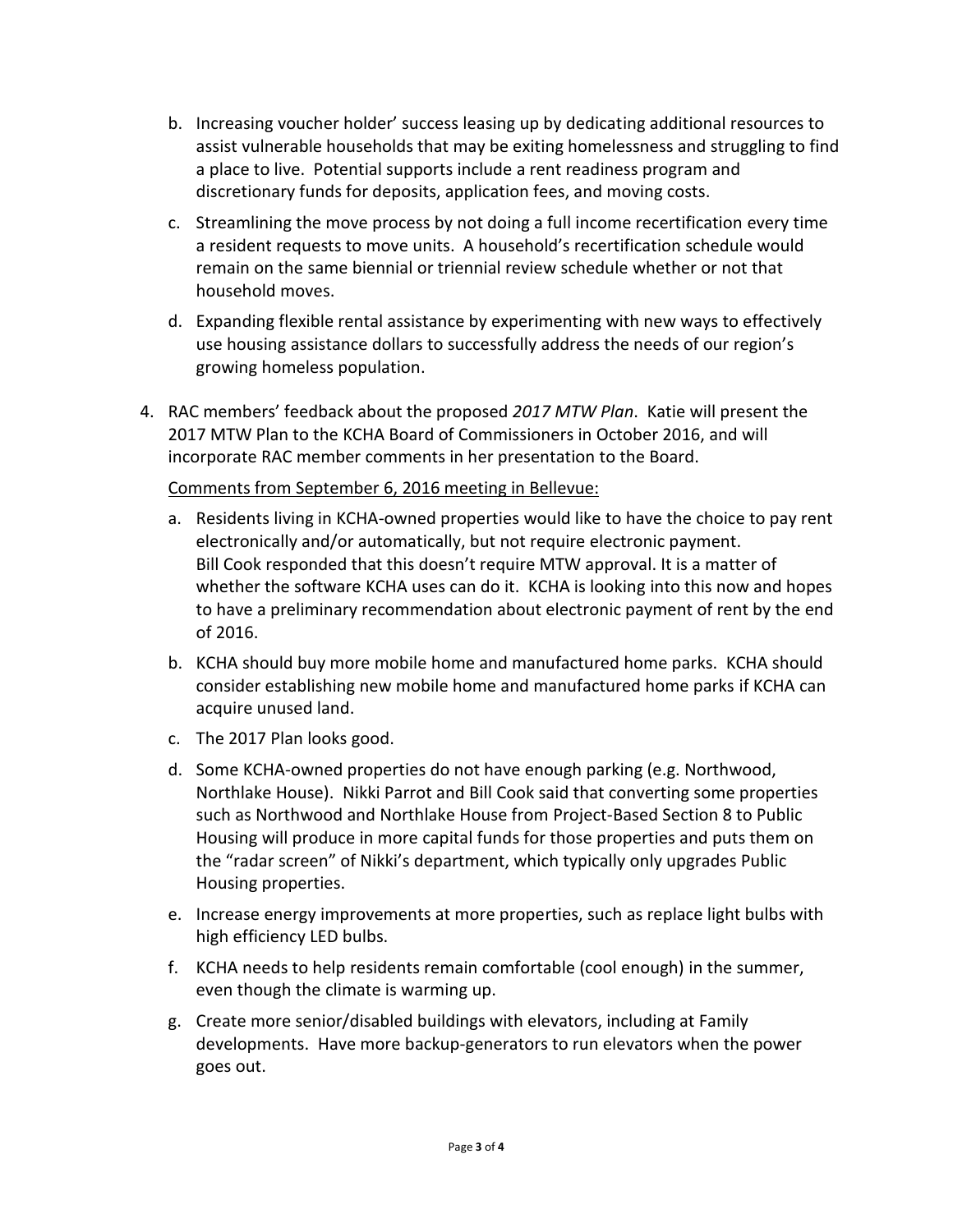- b. Increasing voucher holder' success leasing up by dedicating additional resources to assist vulnerable households that may be exiting homelessness and struggling to find a place to live. Potential supports include a rent readiness program and discretionary funds for deposits, application fees, and moving costs.
- c. Streamlining the move process by not doing a full income recertification every time a resident requests to move units. A household's recertification schedule would remain on the same biennial or triennial review schedule whether or not that household moves.
- d. Expanding flexible rental assistance by experimenting with new ways to effectively use housing assistance dollars to successfully address the needs of our region's growing homeless population.
- 4. RAC members' feedback about the proposed *2017 MTW Plan*. Katie will present the 2017 MTW Plan to the KCHA Board of Commissioners in October 2016, and will incorporate RAC member comments in her presentation to the Board.

Comments from September 6, 2016 meeting in Bellevue:

- a. Residents living in KCHA-owned properties would like to have the choice to pay rent electronically and/or automatically, but not require electronic payment. Bill Cook responded that this doesn't require MTW approval. It is a matter of whether the software KCHA uses can do it. KCHA is looking into this now and hopes to have a preliminary recommendation about electronic payment of rent by the end of 2016.
- b. KCHA should buy more mobile home and manufactured home parks. KCHA should consider establishing new mobile home and manufactured home parks if KCHA can acquire unused land.
- c. The 2017 Plan looks good.
- d. Some KCHA-owned properties do not have enough parking (e.g. Northwood, Northlake House). Nikki Parrot and Bill Cook said that converting some properties such as Northwood and Northlake House from Project-Based Section 8 to Public Housing will produce in more capital funds for those properties and puts them on the "radar screen" of Nikki's department, which typically only upgrades Public Housing properties.
- e. Increase energy improvements at more properties, such as replace light bulbs with high efficiency LED bulbs.
- f. KCHA needs to help residents remain comfortable (cool enough) in the summer, even though the climate is warming up.
- g. Create more senior/disabled buildings with elevators, including at Family developments. Have more backup-generators to run elevators when the power goes out.